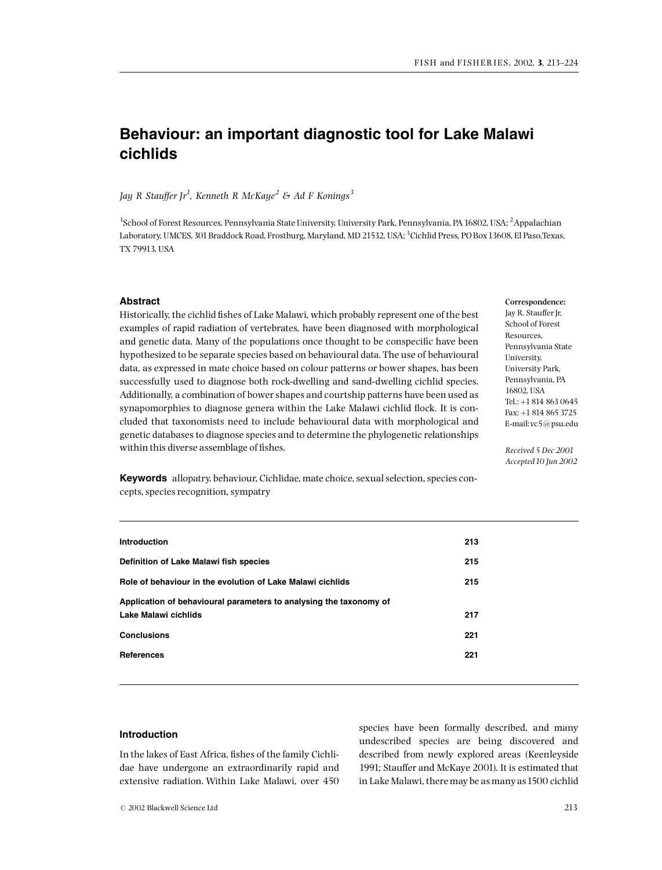# Behaviour: an important diagnostic tool for Lake Malawi cichlids

Jay R Stauffer Jr<sup>1</sup>, Kenneth R McKaye<sup>2</sup> & Ad F Konings<sup>3</sup>

<sup>1</sup>School of Forest Resources, Pennsylvania State University, University Park, Pennsylvania, PA 16802, USA; <sup>2</sup>Appalachian Laboratory, UMCES, 301 Braddock Road, Frostburg, Maryland, MD 21532, USA; <sup>3</sup>Cichlid Press, PO Box 13608, El Paso,Texas, TX 79913, USA

### Abstract

Historically, the cichlid fishes of Lake Malawi, which probably represent one of the best examples of rapid radiation of vertebrates, have been diagnosed with morphological and genetic data. Many of the populations once thought to be conspecific have been hypothesized to be separate species based on behavioural data. The use of behavioural data, as expressed in mate choice based on colour patterns or bower shapes, has been successfully used to diagnose both rock-dwelling and sand-dwelling cichlid species. Additionally, a combination of bower shapes and courtship patterns have been used as synapomorphies to diagnose genera within the Lake Malawi cichlid flock. It is concluded that taxonomists need to include behavioural data with morphological and genetic databases to diagnose species and to determine the phylogenetic relationships within this diverse assemblage of fishes.

Correspondence: Jay R. Stauffer Jr, School of Forest Resources, Pennsylvania State University, University Park, Pennsylvania, PA 16802, USA  $Tel \cdot +18148630645$ Fax: +1 814 865 3725 E-mail:vc5@psu.edu

Received 5 Dec 2001 Accepted 10 Jun 2002

Keywords allopatry, behaviour, Cichlidae, mate choice, sexual selection, species concepts, species recognition, sympatry

| Introduction                                                       | 213 |
|--------------------------------------------------------------------|-----|
| Definition of Lake Malawi fish species                             | 215 |
| Role of behaviour in the evolution of Lake Malawi cichlids         | 215 |
| Application of behavioural parameters to analysing the taxonomy of |     |
| Lake Malawi cichlids                                               | 217 |
| <b>Conclusions</b>                                                 | 221 |
| <b>References</b>                                                  | 221 |
|                                                                    |     |

## Introduction

In the lakes of East Africa, fishes of the family Cichlidae have undergone an extraordinarily rapid and extensive radiation. Within Lake Malawi, over 450 species have been formally described, and many undescribed species are being discovered and described from newly explored areas (Keenleyside 1991; Stauffer and McKaye 2001). It is estimated that in Lake Malawi, there may be as many as1500 cichlid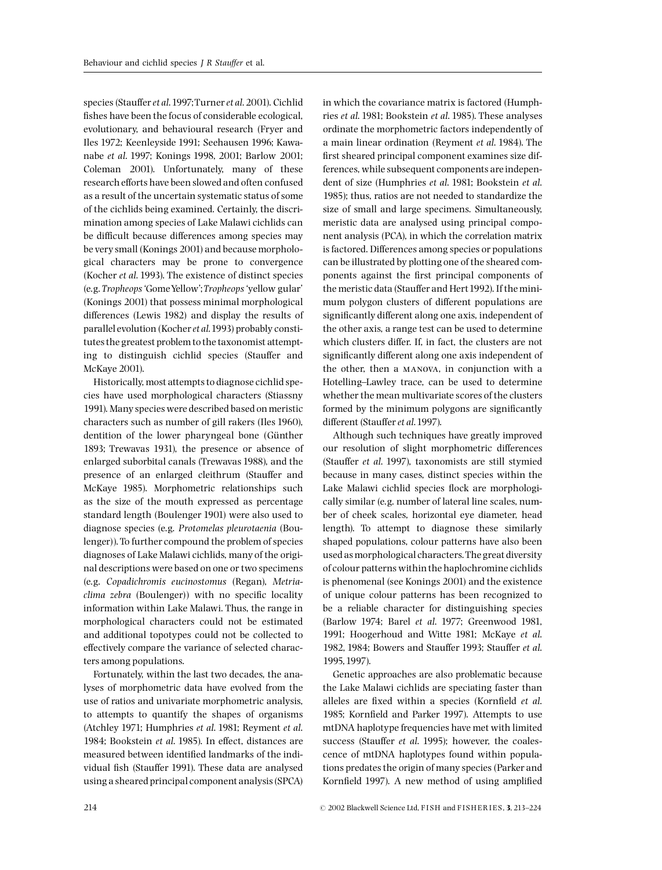species (Stauffer et al. 1997; Turner et al. 2001). Cichlid fishes have been the focus of considerable ecological, evolutionary, and behavioural research (Fryer and Iles 1972; Keenleyside 1991; Seehausen 1996; Kawanabe et al. 1997; Konings 1998, 2001; Barlow 2001; Coleman 2001). Unfortunately, many of these research efforts have been slowed and often confused as a result of the uncertain systematic status of some of the cichlids being examined. Certainly, the discrimination among species of Lake Malawi cichlids can be difficult because differences among species may be very small (Konings 2001) and because morphological characters may be prone to convergence (Kocher et al. 1993). The existence of distinct species (e.g. Tropheops'GomeYellow';Tropheops'yellow gular' (Konings 2001) that possess minimal morphological differences (Lewis 1982) and display the results of parallel evolution (Kocher et al. 1993) probably constitutes the greatest problem to the taxonomist attempting to distinguish cichlid species (Stauffer and McKaye 2001).

Historically, most attempts to diagnose cichlid species have used morphological characters (Stiassny 1991). Many species were described based on meristic characters such as number of gill rakers (Iles 1960), dentition of the lower pharyngeal bone (Günther 1893; Trewavas 1931), the presence or absence of enlarged suborbital canals (Trewavas 1988), and the presence of an enlarged cleithrum (Stauffer and McKaye 1985). Morphometric relationships such as the size of the mouth expressed as percentage standard length (Boulenger 1901) were also used to diagnose species (e.g. Protomelas pleurotaenia (Boulenger)). To further compound the problem of species diagnoses of Lake Malawi cichlids, many of the original descriptions were based on one or two specimens (e.g. Copadichromis eucinostomus (Regan), Metria $clima zebra$  (Boulenger)) with no specific locality information within Lake Malawi. Thus, the range in morphological characters could not be estimated and additional topotypes could not be collected to effectively compare the variance of selected characters among populations.

Fortunately, within the last two decades, the analyses of morphometric data have evolved from the use of ratios and univariate morphometric analysis, to attempts to quantify the shapes of organisms (Atchley 1971; Humphries et al. 1981; Reyment et al. 1984; Bookstein et al. 1985). In effect, distances are measured between identified landmarks of the individual fish (Stauffer 1991). These data are analysed using a sheared principal component analysis (SPCA) in which the covariance matrix is factored (Humphries et al. 1981; Bookstein et al. 1985). These analyses ordinate the morphometric factors independently of a main linear ordination (Reyment et al. 1984). The first sheared principal component examines size differences, while subsequent components are independent of size (Humphries et al. 1981; Bookstein et al. 1985); thus, ratios are not needed to standardize the size of small and large specimens. Simultaneously, meristic data are analysed using principal component analysis (PCA), in which the correlation matrix is factored. Differences among species or populations can be illustrated by plotting one of the sheared components against the first principal components of the meristic data (Stauffer and Hert 1992). If the minimum polygon clusters of different populations are significantly different along one axis, independent of the other axis, a range test can be used to determine which clusters differ. If, in fact, the clusters are not significantly different along one axis independent of the other, then a manova, in conjunction with a Hotelling^Lawley trace, can be used to determine whether the mean multivariate scores of the clusters formed by the minimum polygons are significantly different (Stauffer et al. 1997).

Although such techniques have greatly improved our resolution of slight morphometric differences (Stauffer et al. 1997), taxonomists are still stymied because in many cases, distinct species within the Lake Malawi cichlid species flock are morphologically similar (e.g. number of lateral line scales, number of cheek scales, horizontal eye diameter, head length). To attempt to diagnose these similarly shaped populations, colour patterns have also been used as morphological characters.The great diversity of colour patterns within the haplochromine cichlids is phenomenal (see Konings 2001) and the existence of unique colour patterns has been recognized to be a reliable character for distinguishing species (Barlow 1974; Barel et al. 1977; Greenwood 1981, 1991; Hoogerhoud and Witte 1981; McKaye et al. 1982, 1984; Bowers and Stauffer 1993; Stauffer et al. 1995,1997).

Genetic approaches are also problematic because the Lake Malawi cichlids are speciating faster than alleles are fixed within a species (Kornfield et al. 1985; Kornfield and Parker 1997). Attempts to use mtDNA haplotype frequencies have met with limited success (Stauffer et al. 1995); however, the coalescence of mtDNA haplotypes found within populations predates the origin of many species (Parker and Kornfield 1997). A new method of using amplified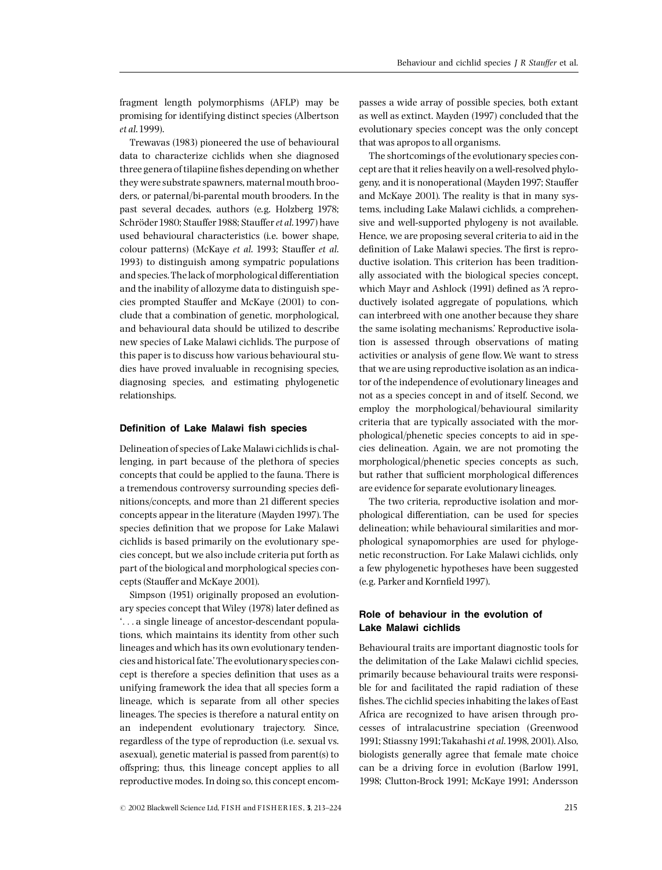fragment length polymorphisms (AFLP) may be promising for identifying distinct species (Albertson et al.1999).

Trewavas (1983) pioneered the use of behavioural data to characterize cichlids when she diagnosed three genera of tilapiine fishes depending on whether they were substrate spawners, maternal mouth brooders, or paternal/bi-parental mouth brooders. In the past several decades, authors (e.g. Holzberg 1978; Schröder 1980; Stauffer 1988; Stauffer et al. 1997) have used behavioural characteristics (i.e. bower shape, colour patterns) (McKaye et al. 1993; Stauffer et al. 1993) to distinguish among sympatric populations and species. The lack of morphological differentiation and the inability of allozyme data to distinguish species prompted Stauffer and McKaye (2001) to conclude that a combination of genetic, morphological, and behavioural data should be utilized to describe new species of Lake Malawi cichlids. The purpose of this paper is to discuss how various behavioural studies have proved invaluable in recognising species, diagnosing species, and estimating phylogenetic relationships.

#### Definition of Lake Malawi fish species

Delineation of species of Lake Malawi cichlids is challenging, in part because of the plethora of species concepts that could be applied to the fauna. There is a tremendous controversy surrounding species definitions/concepts, and more than 21 different species concepts appear in the literature (Mayden 1997). The species definition that we propose for Lake Malawi cichlids is based primarily on the evolutionary species concept, but we also include criteria put forth as part of the biological and morphological species concepts (Stauffer and McKaye 2001).

Simpson (1951) originally proposed an evolutionary species concept that Wiley (1978) later defined as '... a single lineage of ancestor-descendant populations, which maintains its identity from other such lineages and which has its own evolutionary tendencies and historical fate.'The evolutionary species concept is therefore a species definition that uses as a unifying framework the idea that all species form a lineage, which is separate from all other species lineages. The species is therefore a natural entity on an independent evolutionary trajectory. Since, regardless of the type of reproduction (i.e. sexual vs. asexual), genetic material is passed from parent(s) to offspring; thus, this lineage concept applies to all reproductive modes. In doing so, this concept encom-

passes a wide array of possible species, both extant as well as extinct. Mayden (1997) concluded that the evolutionary species concept was the only concept that was apropos to all organisms.

The shortcomings of the evolutionary species concept are that it relies heavily on a well-resolved phylogeny, and it is nonoperational (Mayden 1997; Stauffer and McKaye 2001). The reality is that in many systems, including Lake Malawi cichlids, a comprehensive and well-supported phylogeny is not available. Hence, we are proposing several criteria to aid in the definition of Lake Malawi species. The first is reproductive isolation. This criterion has been traditionally associated with the biological species concept, which Mayr and Ashlock (1991) defined as 'A reproductively isolated aggregate of populations, which can interbreed with one another because they share the same isolating mechanisms.' Reproductive isolation is assessed through observations of mating activities or analysis of gene flow. We want to stress that we are using reproductive isolation as an indicator of the independence of evolutionary lineages and not as a species concept in and of itself. Second, we employ the morphological/behavioural similarity criteria that are typically associated with the morphological/phenetic species concepts to aid in species delineation. Again, we are not promoting the morphological/phenetic species concepts as such, but rather that sufficient morphological differences are evidence for separate evolutionary lineages.

The two criteria, reproductive isolation and morphological differentiation, can be used for species delineation; while behavioural similarities and morphological synapomorphies are used for phylogenetic reconstruction. For Lake Malawi cichlids, only a few phylogenetic hypotheses have been suggested (e.g. Parker and Kornfield 1997).

## Role of behaviour in the evolution of Lake Malawi cichlids

Behavioural traits are important diagnostic tools for the delimitation of the Lake Malawi cichlid species, primarily because behavioural traits were responsible for and facilitated the rapid radiation of these fishes. The cichlid species inhabiting the lakes of East Africa are recognized to have arisen through processes of intralacustrine speciation (Greenwood 1991; Stiassny1991;Takahashiet al.1998, 2001). Also, biologists generally agree that female mate choice can be a driving force in evolution (Barlow 1991, 1998; Clutton-Brock 1991; McKaye 1991; Andersson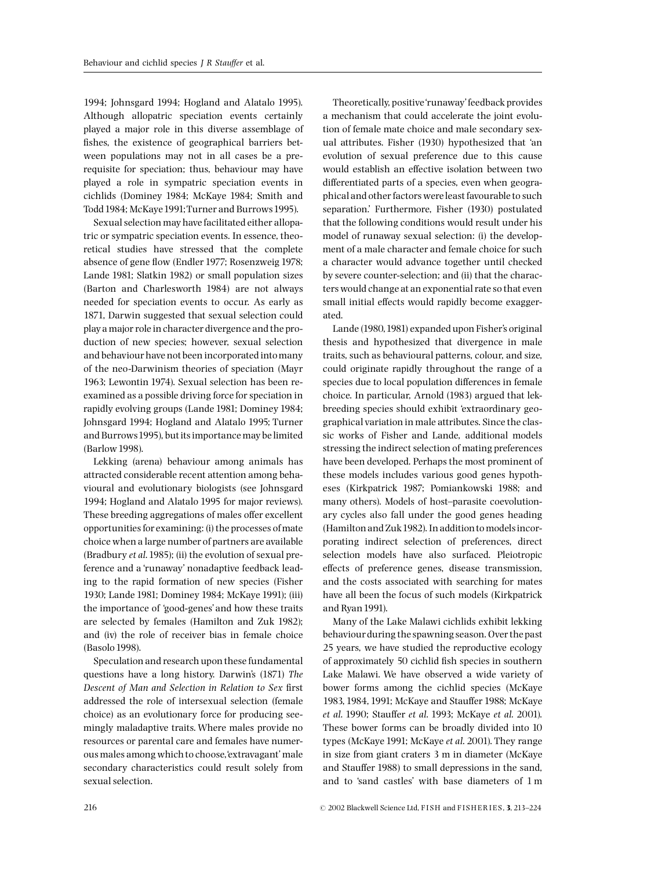1994; Johnsgard 1994; Hogland and Alatalo 1995). Although allopatric speciation events certainly played a major role in this diverse assemblage of fishes, the existence of geographical barriers between populations may not in all cases be a prerequisite for speciation; thus, behaviour may have played a role in sympatric speciation events in cichlids (Dominey 1984; McKaye 1984; Smith and Todd 1984; McKaye 1991; Turner and Burrows 1995).

Sexual selection may have facilitated either allopatric or sympatric speciation events. In essence, theoretical studies have stressed that the complete absence of gene flow (Endler 1977; Rosenzweig 1978; Lande 1981; Slatkin 1982) or small population sizes (Barton and Charlesworth 1984) are not always needed for speciation events to occur. As early as 1871, Darwin suggested that sexual selection could play a major role in character divergence and the production of new species; however, sexual selection and behaviour have not been incorporated into many of the neo-Darwinism theories of speciation (Mayr 1963; Lewontin 1974). Sexual selection has been reexamined as a possible driving force for speciation in rapidly evolving groups (Lande 1981; Dominey 1984; Johnsgard 1994; Hogland and Alatalo 1995; Turner and Burrows1995), but its importance may be limited (Barlow1998).

Lekking (arena) behaviour among animals has attracted considerable recent attention among behavioural and evolutionary biologists (see Johnsgard 1994; Hogland and Alatalo 1995 for major reviews). These breeding aggregations of males offer excellent opportunities for examining: (i) the processes of mate choice when a large number of partners are available (Bradbury et al.1985); (ii) the evolution of sexual preference and a 'runaway' nonadaptive feedback leading to the rapid formation of new species (Fisher 1930; Lande 1981; Dominey 1984; McKaye 1991); (iii) the importance of 'good-genes'and how these traits are selected by females (Hamilton and Zuk 1982); and (iv) the role of receiver bias in female choice (Basolo1998).

Speculation and research upon these fundamental questions have a long history. Darwin's (1871) The Descent of Man and Selection in Relation to Sex first addressed the role of intersexual selection (female choice) as an evolutionary force for producing seemingly maladaptive traits. Where males provide no resources or parental care and females have numerous males among which to choose,'extravagant' male secondary characteristics could result solely from sexual selection.

Theoretically, positive'runaway'feedback provides a mechanism that could accelerate the joint evolution of female mate choice and male secondary sexual attributes. Fisher (1930) hypothesized that 'an evolution of sexual preference due to this cause would establish an effective isolation between two differentiated parts of a species, even when geographical and other factors were least favourable to such separation.' Furthermore, Fisher (1930) postulated that the following conditions would result under his model of runaway sexual selection: (i) the development of a male character and female choice for such a character would advance together until checked by severe counter-selection; and (ii) that the characters would change at an exponential rate so that even small initial effects would rapidly become exaggerated.

Lande (1980,1981) expanded upon Fisher's original thesis and hypothesized that divergence in male traits, such as behavioural patterns, colour, and size, could originate rapidly throughout the range of a species due to local population differences in female choice. In particular, Arnold (1983) argued that lekbreeding species should exhibit 'extraordinary geographical variation in male attributes. Since the classic works of Fisher and Lande, additional models stressing the indirect selection of mating preferences have been developed. Perhaps the most prominent of these models includes various good genes hypotheses (Kirkpatrick 1987; Pomiankowski 1988; and many others). Models of host-parasite coevolutionary cycles also fall under the good genes heading (Hamilton and Zuk1982). In addition to models incorporating indirect selection of preferences, direct selection models have also surfaced. Pleiotropic effects of preference genes, disease transmission, and the costs associated with searching for mates have all been the focus of such models (Kirkpatrick and Ryan 1991).

Many of the Lake Malawi cichlids exhibit lekking behaviour during the spawning season. Over the past 25 years, we have studied the reproductive ecology of approximately 50 cichlid fish species in southern Lake Malawi. We have observed a wide variety of bower forms among the cichlid species (McKaye 1983, 1984, 1991; McKaye and Stauffer 1988; McKaye et al. 1990; Stauffer et al. 1993; McKaye et al. 2001). These bower forms can be broadly divided into 10 types (McKaye 1991; McKaye et al. 2001). They range in size from giant craters 3 m in diameter (McKaye and Stauffer 1988) to small depressions in the sand, and to 'sand castles' with base diameters of 1 m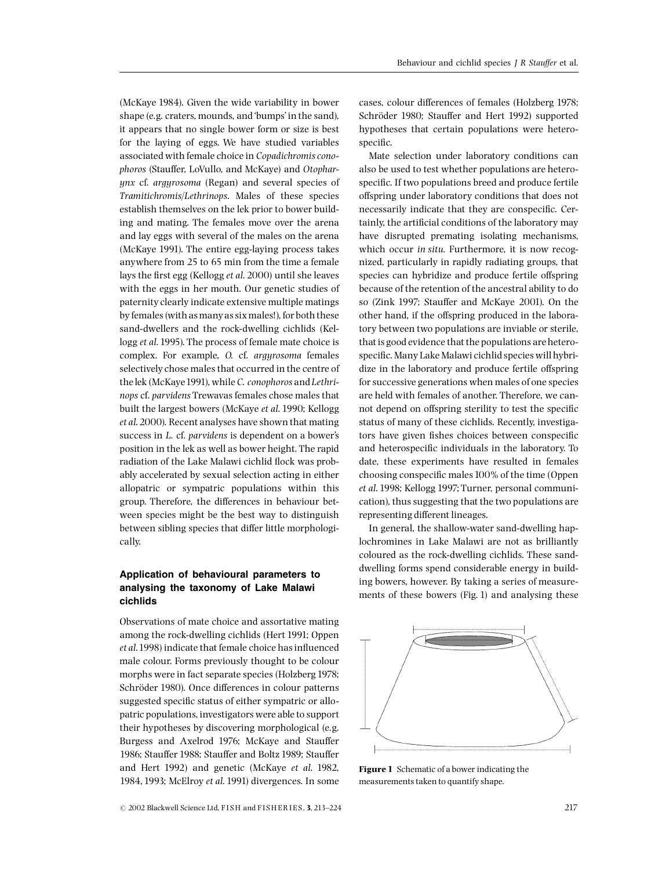for the laying of eggs. We have studied variables associated with female choice in Copadichromis conophoros (Stauffer, LoVullo, and McKaye) and Otopharynx cf. argyrosoma (Regan) and several species of Tramitichromis/Lethrinops. Males of these species establish themselves on the lek prior to bower building and mating. The females move over the arena and lay eggs with several of the males on the arena (McKaye 1991). The entire egg-laying process takes anywhere from 25 to 65 min from the time a female lays the first egg (Kellogg et al. 2000) until she leaves with the eggs in her mouth. Our genetic studies of paternity clearly indicate extensive multiple matings by females (with as manyas six males!), for both these sand-dwellers and the rock-dwelling cichlids (Kellogg et al. 1995). The process of female mate choice is complex. For example, O. cf. argyrosoma females selectively chose males that occurred in the centre of the lek (McKaye 1991), while C. conophoros and Lethrinops cf. parvidens Trewavas females chose males that built the largest bowers (McKaye et al. 1990; Kellogg et al. 2000). Recent analyses have shown that mating success in L. cf. parvidens is dependent on a bower's position in the lek as well as bower height. The rapid radiation of the Lake Malawi cichlid flock was probably accelerated by sexual selection acting in either allopatric or sympatric populations within this group. Therefore, the differences in behaviour between species might be the best way to distinguish between sibling species that differ little morphologically.

# Application of behavioural parameters to analysing the taxonomy of Lake Malawi cichlids

Observations of mate choice and assortative mating among the rock-dwelling cichlids (Hert 1991; Oppen et al. 1998) indicate that female choice has influenced male colour. Forms previously thought to be colour morphs were in fact separate species (Holzberg 1978; Schröder 1980). Once differences in colour patterns suggested specific status of either sympatric or allopatric populations, investigators were able to support their hypotheses by discovering morphological (e.g. Burgess and Axelrod 1976; McKaye and Stauffer 1986; Stauffer 1988; Stauffer and Boltz 1989; Stauffer and Hert 1992) and genetic (McKaye et al. 1982, 1984, 1993; McElroy et al. 1991) divergences. In some cases, colour differences of females (Holzberg 1978; Schröder 1980; Stauffer and Hert 1992) supported hypotheses that certain populations were hetero-

Mate selection under laboratory conditions can also be used to test whether populations are heterospecific. If two populations breed and produce fertile offspring under laboratory conditions that does not necessarily indicate that they are conspecific. Certainly, the artificial conditions of the laboratory may have disrupted premating isolating mechanisms, which occur in situ. Furthermore, it is now recognized, particularly in rapidly radiating groups, that species can hybridize and produce fertile offspring because of the retention of the ancestral ability to do so (Zink 1997; Stauffer and McKaye 2001). On the other hand, if the offspring produced in the laboratory between two populations are inviable or sterile, that is good evidence that the populations are heterospecific. Many Lake Malawi cichlid species will hybridize in the laboratory and produce fertile offspring for successive generations when males of one species are held with females of another. Therefore, we cannot depend on offspring sterility to test the specific status of many of these cichlids. Recently, investigators have given fishes choices between conspecific and heterospecific individuals in the laboratory. To date, these experiments have resulted in females choosing conspecific males 100% of the time (Oppen et al. 1998; Kellogg 1997; Turner, personal communication), thus suggesting that the two populations are representing different lineages.

In general, the shallow-water sand-dwelling haplochromines in Lake Malawi are not as brilliantly coloured as the rock-dwelling cichlids. These sanddwelling forms spend considerable energy in building bowers, however. By taking a series of measurements of these bowers (Fig. 1) and analysing these



Figure 1 Schematic of a bower indicating the measurements taken to quantify shape.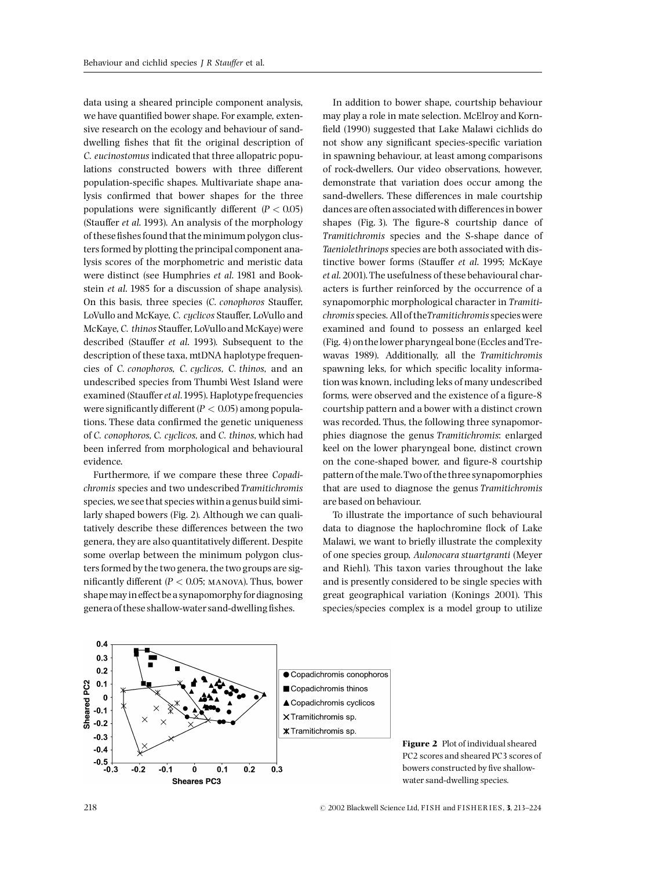data using a sheared principle component analysis, we have quantified bower shape. For example, extensive research on the ecology and behaviour of sanddwelling fishes that fit the original description of C. eucinostomus indicated that three allopatric populations constructed bowers with three different population-specific shapes. Multivariate shape analysis confirmed that bower shapes for the three populations were significantly different ( $P < 0.05$ ) (Stauffer et al. 1993). An analysis of the morphology of these fishes found that the minimum polygon clusters formed by plotting the principal component analysis scores of the morphometric and meristic data were distinct (see Humphries et al. 1981 and Bookstein et al. 1985 for a discussion of shape analysis). On this basis, three species (C. conophoros Stauffer, LoVullo and McKaye, C. cyclicos Stauffer, LoVullo and McKaye, C. thinos Stauffer, LoVullo and McKaye) were described (Stauffer et al. 1993). Subsequent to the description of these taxa, mtDNA haplotype frequencies of C. conophoros, C. cyclicos, C. thinos, and an undescribed species from Thumbi West Island were examined (Stauffer  $et$  al. 1995). Haplotype frequencies were significantly different ( $P < 0.05$ ) among populations. These data confirmed the genetic uniqueness of C. conophoros, C. cyclicos, and C. thinos, which had been inferred from morphological and behavioural evidence.

Furthermore, if we compare these three Copadichromis species and two undescribed Tramitichromis species, we see that species within a genus build similarly shaped bowers (Fig. 2). Although we can qualitatively describe these differences between the two genera, they are also quantitatively different. Despite some overlap between the minimum polygon clusters formed by the two genera, the two groups are significantly different ( $P < 0.05$ ; MANOVA). Thus, bower shape may in effect be a synapomorphy for diagnosing genera of these shallow-water sand-dwelling fishes.

In addition to bower shape, courtship behaviour may play a role in mate selection. McElroy and Korn field (1990) suggested that Lake Malawi cichlids do not show any significant species-specific variation in spawning behaviour, at least among comparisons of rock-dwellers. Our video observations, however, demonstrate that variation does occur among the sand-dwellers. These differences in male courtship dances are often associated with differences in bower shapes (Fig. 3). The figure-8 courtship dance of Tramitichromis species and the S-shape dance of Taeniolethrinops species are both associated with distinctive bower forms (Stauffer et al. 1995; McKaye et al.2001).The usefulness of these behavioural characters is further reinforced by the occurrence of a synapomorphic morphological character in Tramitichromis species. All of theTramitichromis species were examined and found to possess an enlarged keel (Fig. 4) on the lower pharyngeal bone (Eccles andTrewavas 1989). Additionally, all the Tramitichromis spawning leks, for which specific locality information was known, including leks of many undescribed forms, were observed and the existence of a figure-8 courtship pattern and a bower with a distinct crown was recorded. Thus, the following three synapomorphies diagnose the genus Tramitichromis: enlarged keel on the lower pharyngeal bone, distinct crown on the cone-shaped bower, and figure-8 courtship pattern of the male.Two of the three synapomorphies that are used to diagnose the genus Tramitichromis are based on behaviour.

To illustrate the importance of such behavioural data to diagnose the haplochromine flock of Lake Malawi, we want to briefly illustrate the complexity of one species group, Aulonocara stuartgranti (Meyer and Riehl). This taxon varies throughout the lake and is presently considered to be single species with great geographical variation (Konings 2001). This species/species complex is a model group to utilize



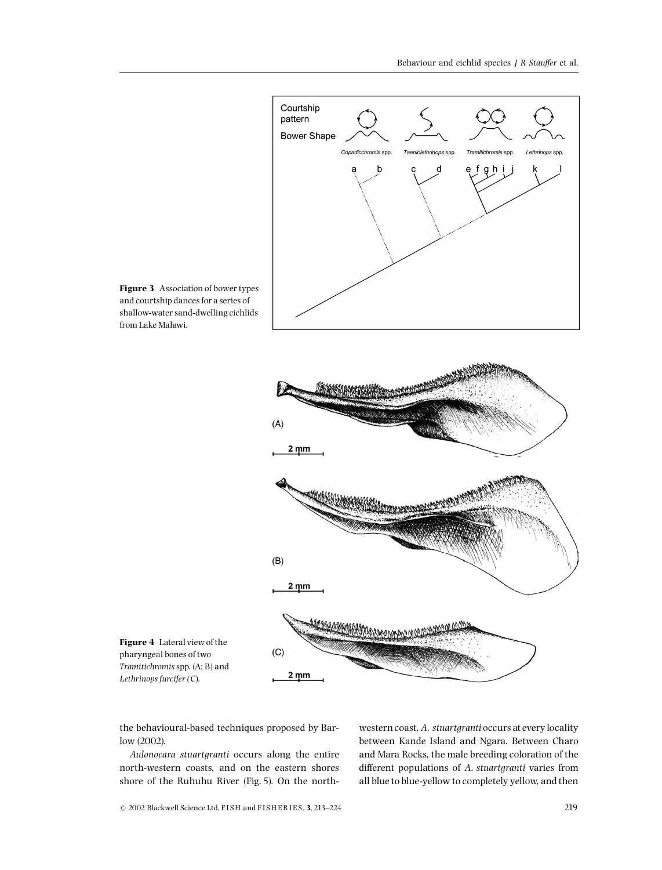

Figure 3 Association of bower types and courtship dances for a series of shallow-water sand-dwelling cichlids from Lake Malawi.



Figure 4 Lateral view of the pharyngeal bones of two Tramitichromisspp. (A; B) and Lethrinops furcifer (C).

the behavioural-based techniques proposed by Barlow (2002).

Aulonocara stuartgranti occurs along the entire north-western coasts, and on the eastern shores shore of the Ruhuhu River (Fig. 5). On the north-

western coast, A. stuartgranti occurs at every locality between Kande Island and Ngara. Between Charo and Mara Rocks, the male breeding coloration of the different populations of A. stuartgranti varies from all blue to blue-yellow to completely yellow, and then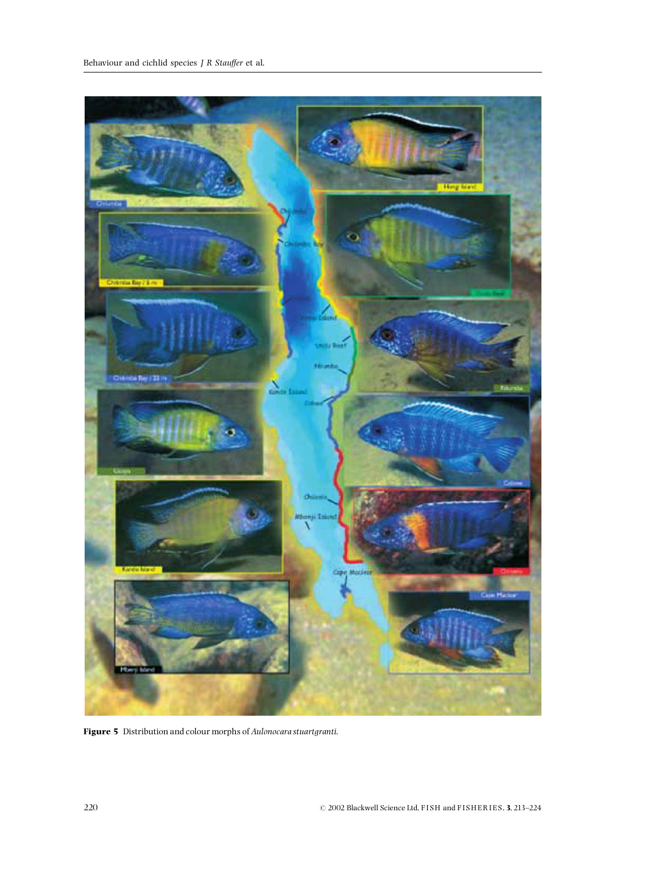

Figure 5 Distribution and colour morphs of Aulonocara stuartgranti.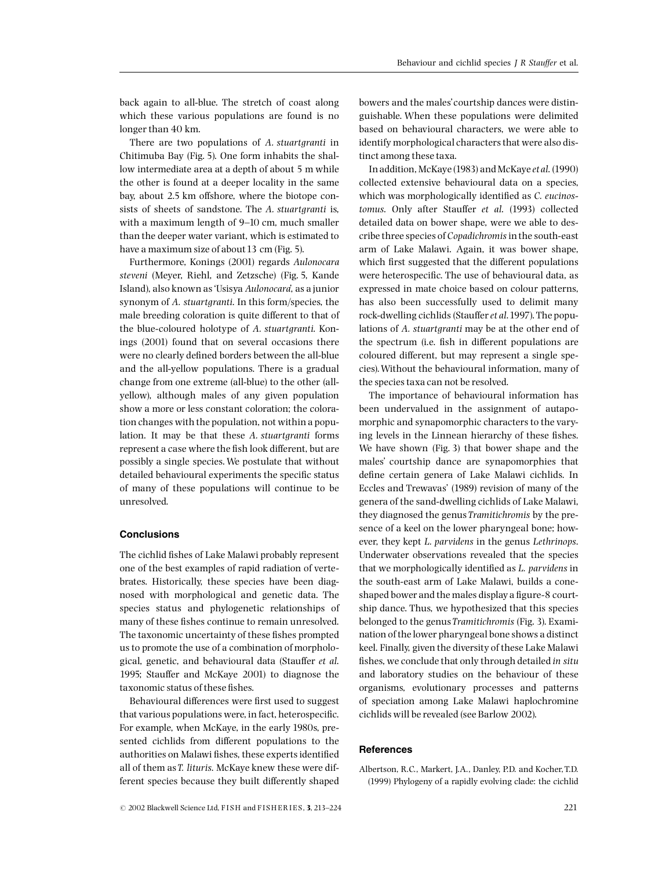back again to all-blue. The stretch of coast along which these various populations are found is no longer than 40 km.

There are two populations of A. stuartgranti in Chitimuba Bay (Fig. 5). One form inhabits the shallow intermediate area at a depth of about 5 m while the other is found at a deeper locality in the same bay, about 2.5 km offshore, where the biotope consists of sheets of sandstone. The A. stuartgranti is, with a maximum length of 9–10 cm, much smaller than the deeper water variant, which is estimated to have a maximum size of about 13 cm (Fig. 5).

Furthermore, Konings (2001) regards Aulonocara steveni (Meyer, Riehl, and Zetzsche) (Fig. 5, Kande Island), also known as 'Usisya Aulonocara', as a junior synonym of A. stuartgranti. In this form/species, the male breeding coloration is quite different to that of the blue-coloured holotype of A. stuartgranti. Konings (2001) found that on several occasions there were no clearly defined borders between the all-blue and the all-yellow populations. There is a gradual change from one extreme (all-blue) to the other (allyellow), although males of any given population show a more or less constant coloration; the coloration changes with the population, not within a population. It may be that these A. stuartgranti forms represent a case where the fish look different, but are possibly a single species. We postulate that without detailed behavioural experiments the specific status of many of these populations will continue to be unresolved.

#### Conclusions

The cichlid fishes of Lake Malawi probably represent one of the best examples of rapid radiation of vertebrates. Historically, these species have been diagnosed with morphological and genetic data. The species status and phylogenetic relationships of many of these fishes continue to remain unresolved. The taxonomic uncertainty of these fishes prompted us to promote the use of a combination of morphological, genetic, and behavioural data (Stauffer et al. 1995; Stauffer and McKaye 2001) to diagnose the taxonomic status of these fishes.

Behavioural differences were first used to suggest that various populations were, in fact, heterospecific. For example, when McKaye, in the early 1980s, presented cichlids from different populations to the authorities on Malawi fishes, these experts identified all of them asT. lituris. McKaye knew these were different species because they built differently shaped

 $\odot$  2002 Blackwell Science Ltd, FISH and FISHERIES, 3, 213–224 221

bowers and the males'courtship dances were distinguishable. When these populations were delimited based on behavioural characters, we were able to identify morphological characters that were also distinct among these taxa.

In addition, McKaye (1983) and McKaye et al. (1990) collected extensive behavioural data on a species, which was morphologically identified as C. eucinostomus. Only after Stauffer et al. (1993) collected detailed data on bower shape, were we able to describe three species of Copadichromis in the south-east arm of Lake Malawi. Again, it was bower shape, which first suggested that the different populations were heterospecific. The use of behavioural data, as expressed in mate choice based on colour patterns, has also been successfully used to delimit many rock-dwelling cichlids (Stauffer et al. 1997). The populations of A. stuartgranti may be at the other end of the spectrum (i.e. fish in different populations are coloured different, but may represent a single species).Without the behavioural information, many of the species taxa can not be resolved.

The importance of behavioural information has been undervalued in the assignment of autapomorphic and synapomorphic characters to the varying levels in the Linnean hierarchy of these fishes. We have shown (Fig. 3) that bower shape and the males' courtship dance are synapomorphies that define certain genera of Lake Malawi cichlids. In Eccles and Trewavas' (1989) revision of many of the genera of the sand-dwelling cichlids of Lake Malawi, they diagnosed the genus Tramitichromis by the presence of a keel on the lower pharyngeal bone; however, they kept L. parvidens in the genus Lethrinops. Underwater observations revealed that the species that we morphologically identified as L. parvidens in the south-east arm of Lake Malawi, builds a coneshaped bower and the males display a figure-8 courtship dance. Thus, we hypothesized that this species belonged to the genus Tramitichromis (Fig. 3). Examination of the lower pharyngeal bone shows a distinct keel. Finally, given the diversity of these Lake Malawi fishes, we conclude that only through detailed in situ and laboratory studies on the behaviour of these organisms, evolutionary processes and patterns of speciation among Lake Malawi haplochromine cichlids will be revealed (see Barlow 2002).

#### References

Albertson, R.C., Markert, J.A., Danley, P.D. and Kocher,T.D. (1999) Phylogeny of a rapidly evolving clade: the cichlid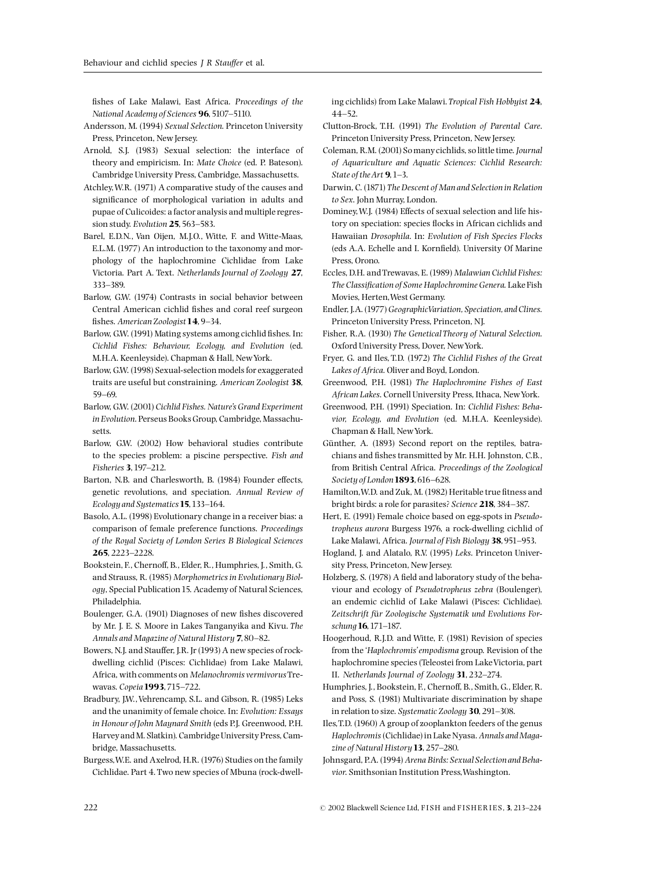fishes of Lake Malawi, East Africa. Proceedings of the National Academy of Sciences 96, 5107-5110.

- Andersson, M. (1994) Sexual Selection. Princeton University Press, Princeton, New Jersey.
- Arnold, S.J. (1983) Sexual selection: the interface of theory and empiricism. In: Mate Choice (ed. P. Bateson). Cambridge University Press, Cambridge, Massachusetts.
- Atchley,W.R. (1971) A comparative study of the causes and significance of morphological variation in adults and pupae of Culicoides: a factor analysis and multiple regression study. Evolution 25, 563-583.
- Barel, E.D.N., Van Oijen, M.J.O., Witte, F. and Witte-Maas, E.L.M. (1977) An introduction to the taxonomy and morphology of the haplochromine Cichlidae from Lake Victoria. Part A. Text. Netherlands Journal of Zoology 27, 333^389.
- Barlow, G.W. (1974) Contrasts in social behavior between Central American cichlid fishes and coral reef surgeon fishes. American Zoologist 14, 9-34.
- Barlow, G.W. (1991) Mating systems among cichlid fishes. In: Cichlid Fishes: Behaviour, Ecology, and Evolution (ed. M.H.A. Keenleyside). Chapman & Hall, NewYork.
- Barlow, G.W. (1998) Sexual-selection models for exaggerated traits are useful but constraining. American Zoologist 38, 59-69.
- Barlow, G.W. (2001) Cichlid Fishes. Nature's Grand Experiment in Evolution. Perseus Books Group, Cambridge, Massachusetts.
- Barlow, G.W. (2002) How behavioral studies contribute to the species problem: a piscine perspective. Fish and Fisheries **3**, 197-212.
- Barton, N.B. and Charlesworth, B. (1984) Founder effects, genetic revolutions, and speciation. Annual Review of Ecology and Systematics 15, 133-164.
- Basolo, A.L. (1998) Evolutionary change in a receiver bias: a comparison of female preference functions. Proceedings of the Royal Society of London Series B Biological Sciences 265, 2223^2228.
- Bookstein, F., Chernoff, B., Elder, R., Humphries, J., Smith, G. and Strauss, R. (1985) Morphometrics in Evolutionary Biology, Special Publication15. Academy of Natural Sciences, Philadelphia.
- Boulenger, G.A. (1901) Diagnoses of new fishes discovered by Mr. J. E. S. Moore in Lakes Tanganyika and Kivu. The Annals and Magazine of Natural History 7, 80-82.
- Bowers, N.J. and Stauffer, J.R. Jr (1993) A new species of rockdwelling cichlid (Pisces: Cichlidae) from Lake Malawi, Africa, with comments on Melanochromis vermivorusTrewavas. Copeia 1993, 715-722.
- Bradbury, J.W.,Vehrencamp, S.L. and Gibson, R. (1985) Leks and the unanimity of female choice. In: Evolution: Essays in Honour of John Maynard Smith (eds P.J. Greenwood, P.H. Harveyand M. Slatkin). Cambridge University Press, Cambridge, Massachusetts.
- Burgess,W.E. and Axelrod, H.R. (1976) Studies on the family Cichlidae. Part 4. Two new species of Mbuna (rock-dwell-

ing cichlids) from Lake Malawi. Tropical Fish Hobbyist 24,  $44 - 52$ 

- Clutton-Brock, T.H. (1991) The Evolution of Parental Care. Princeton University Press, Princeton, New Jersey.
- Coleman, R.M. (2001) So manycichlids, so little time. Journal of Aquariculture and Aquatic Sciences: Cichlid Research: State of the Art 9, 1-3.
- Darwin, C. (1871) The Descent of Man and Selection in Relation to Sex. John Murray, London.
- Dominey, W.J. (1984) Effects of sexual selection and life history on speciation: species flocks in African cichlids and Hawaiian Drosophila. In: Evolution of Fish Species Flocks (eds A.A. Echelle and I. Kornfield). University Of Marine Press, Orono.
- Eccles, D.H. andTrewavas, E. (1989) Malawian Cichlid Fishes: The Classification of Some Haplochromine Genera. Lake Fish Movies, Herten,West Germany.
- Endler, J.A. (1977)GeographicVariation, Speciation, and Clines. Princeton University Press, Princeton, NJ.
- Fisher, R.A. (1930) The Genetical Theory of Natural Selection. Oxford University Press, Dover, NewYork.
- Fryer, G. and Iles, T.D. (1972) The Cichlid Fishes of the Great Lakes of Africa. Oliver and Boyd, London.
- Greenwood, P.H. (1981) The Haplochromine Fishes of East African Lakes. Cornell University Press, Ithaca, NewYork.
- Greenwood, P.H. (1991) Speciation. In: Cichlid Fishes: Behavior, Ecology, and Evolution (ed. M.H.A. Keenleyside). Chapman & Hall, NewYork.
- Günther, A. (1893) Second report on the reptiles, batrachians and fishes transmitted by Mr. H.H. Johnston, C.B., from British Central Africa. Proceedings of the Zoological Society of London 1893, 616-628.
- Hamilton, W.D. and Zuk, M. (1982) Heritable true fitness and bright birds: a role for parasites? Science 218, 384-387.
- Hert, E. (1991) Female choice based on egg-spots in Pseudotropheus aurora Burgess 1976, a rock-dwelling cichlid of Lake Malawi, Africa. Journal of Fish Biology 38, 951-953.
- Hogland, J. and Alatalo, R.V. (1995) Leks. Princeton University Press, Princeton, New Jersey.
- Holzberg, S. (1978) A field and laboratory study of the behaviour and ecology of Pseudotropheus zebra (Boulenger), an endemic cichlid of Lake Malawi (Pisces: Cichlidae). Zeitschrift für Zoologische Systematik und Evolutions Forschung 16, 171-187.
- Hoogerhoud, R.J.D. and Witte, F. (1981) Revision of species from the 'Haplochromis'empodisma group. Revision of the haplochromine species (Teleostei from LakeVictoria, part II. Netherlands Journal of Zoology 31, 232-274.
- Humphries, J., Bookstein, F., Chernoff, B., Smith, G., Elder, R. and Poss, S. (1981) Multivariate discrimination by shape in relation to size. Systematic Zoology  $30$ , 291-308.
- Iles,T.D. (1960) A group of zooplankton feeders of the genus Haplochromis (Cichlidae) in Lake Nyasa. Annals and Magazine of Natural History  $13$ , 257-280.
- Johnsgard, P.A. (1994) Arena Birds: Sexual Selection and Behavior. Smithsonian Institution Press,Washington.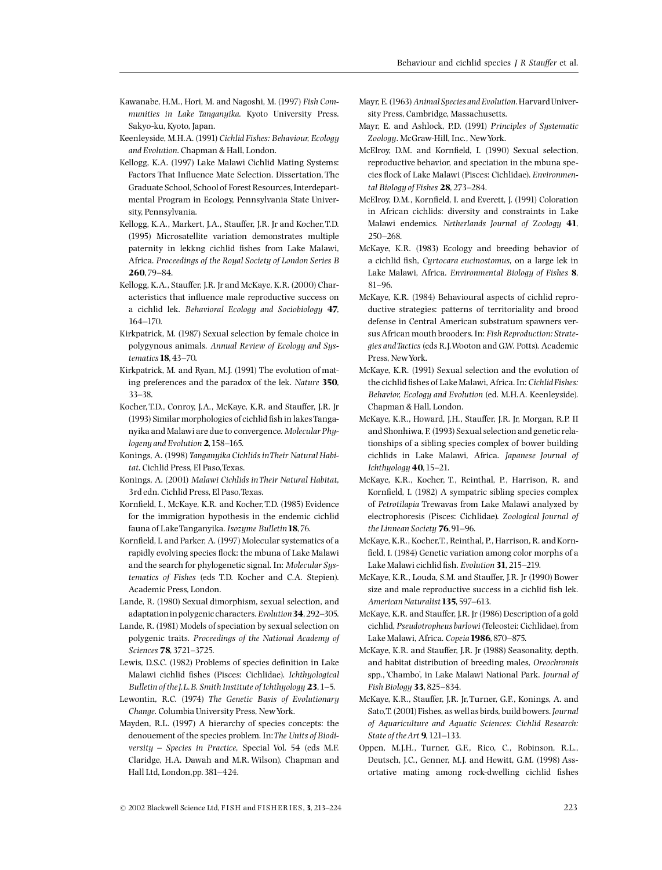- Kawanabe, H.M., Hori, M. and Nagoshi, M. (1997) Fish Communities in Lake Tanganyika. Kyoto University Press. Sakyo-ku, Kyoto, Japan.
- Keenleyside, M.H.A. (1991) Cichlid Fishes: Behaviour, Ecology and Evolution. Chapman & Hall, London.
- Kellogg, K.A. (1997) Lake Malawi Cichlid Mating Systems: Factors That Influence Mate Selection. Dissertation, The Graduate School, School of Forest Resources, Interdepartmental Program in Ecology, Pennsylvania State University, Pennsylvania.
- Kellogg, K.A., Markert, J.A., Stauffer, J.R. Jr and Kocher, T.D. (1995) Microsatellite variation demonstrates multiple paternity in lekkng cichlid fishes from Lake Malawi, Africa. Proceedings of the Royal Society of London Series B 260,79-84.
- Kellogg, K.A., Stauffer, J.R. Jr and McKaye, K.R. (2000) Characteristics that influence male reproductive success on a cichlid lek. Behavioral Ecology and Sociobiology 47, 164^170.
- Kirkpatrick, M. (1987) Sexual selection by female choice in polygynous animals. Annual Review of Ecology and Systematics **18**, 43-70.
- Kirkpatrick, M. and Ryan, M.J. (1991) The evolution of mating preferences and the paradox of the lek. Nature 350, 33^38.
- Kocher, T.D., Conroy, J.A., McKaye, K.R. and Stauffer, J.R. Jr (1993) Similar morphologies of cichlid fish in lakes Tanganyika and Malawi are due to convergence. Molecular Phylogeny and Evolution 2, 158-165.
- Konings, A. (1998) Tanganyika Cichlids inTheir Natural Habitat. Cichlid Press, El Paso,Texas.
- Konings, A. (2001) Malawi Cichlids in Their Natural Habitat, 3rd edn. Cichlid Press, El Paso,Texas.
- Kornfield, I., McKaye, K.R. and Kocher, T.D. (1985) Evidence for the immigration hypothesis in the endemic cichlid fauna of LakeTanganyika. Isozyme Bulletin18,76.
- Kornfield, I. and Parker, A. (1997) Molecular systematics of a rapidly evolving species flock: the mbuna of Lake Malawi and the search for phylogenetic signal. In: Molecular Systematics of Fishes (eds T.D. Kocher and C.A. Stepien). Academic Press, London.
- Lande, R. (1980) Sexual dimorphism, sexual selection, and adaptation in polygenic characters. Evolution 34, 292-305.
- Lande, R. (1981) Models of speciation by sexual selection on polygenic traits. Proceedings of the National Academy of Sciences **78**, 3721-3725.
- Lewis, D.S.C. (1982) Problems of species definition in Lake Malawi cichlid fishes (Pisces: Cichlidae). Ichthyological Bulletin of the J.L.B. Smith Institute of Ichthyology  $23$ , 1-5.
- Lewontin, R.C. (1974) The Genetic Basis of Evolutionary Change. Columbia University Press, NewYork.
- Mayden, R.L. (1997) A hierarchy of species concepts: the denouement of the species problem. In: The Units of Biodiversity  $-$  Species in Practice, Special Vol. 54 (eds M.F. Claridge, H.A. Dawah and M.R. Wilson). Chapman and Hall Ltd, London,pp. 381-424.
- Mayr, E. (1963) Animal Species and Evolution. Harvard University Press, Cambridge, Massachusetts.
- Mayr, E. and Ashlock, P.D. (1991) Principles of Systematic Zoology. McGraw-Hill, Inc., NewYork.
- McElroy, D.M. and Kornfield, I. (1990) Sexual selection, reproductive behavior, and speciation in the mbuna species flock of Lake Malawi (Pisces: Cichlidae). Environmental Biology of Fishes  $28$ , 273-284.
- McElroy, D.M., Kornfield, I. and Everett, J. (1991) Coloration in African cichlids: diversity and constraints in Lake Malawi endemics. Netherlands Journal of Zoology 41, 250^268.
- McKaye, K.R. (1983) Ecology and breeding behavior of a cichlid fish, Cyrtocara eucinostomus, on a large lek in Lake Malawi, Africa. Environmental Biology of Fishes 8, 81-96.
- McKaye, K.R. (1984) Behavioural aspects of cichlid reproductive strategies: patterns of territoriality and brood defense in Central American substratum spawners versus African mouth brooders. In: Fish Reproduction: Strategies andTactics (eds R.J.Wooton and G.W. Potts). Academic Press, NewYork.
- McKaye, K.R. (1991) Sexual selection and the evolution of the cichlid fishes of Lake Malawi, Africa. In: Cichlid Fishes: Behavior, Ecology and Evolution (ed. M.H.A. Keenleyside). Chapman & Hall, London.
- McKaye, K.R., Howard, J.H., Stauffer, J.R. Jr, Morgan, R.P. II and Shonhiwa, F. (1993) Sexual selection and genetic relationships of a sibling species complex of bower building cichlids in Lake Malawi, Africa. Japanese Journal of Ichthyology  $40,15-21$ .
- McKaye, K.R., Kocher, T., Reinthal, P., Harrison, R. and Kornfield, I. (1982) A sympatric sibling species complex of Petrotilapia Trewavas from Lake Malawi analyzed by electrophoresis (Pisces: Cichlidae). Zoological Journal of the Linnean Society 76, 91-96.
- McKaye, K.R., Kocher, T., Reinthal, P., Harrison, R. and Kornfield, I. (1984) Genetic variation among color morphs of a Lake Malawi cichlid fish. Evolution 31, 215-219.
- McKaye, K.R., Louda, S.M. and Stauffer, J.R. Jr (1990) Bower size and male reproductive success in a cichlid fish lek. American Naturalist 135, 597-613.
- McKaye, K.R. and Stauffer, J.R. Jr (1986) Description of a gold cichlid, Pseudotropheus barlowi (Teleostei: Cichlidae), from Lake Malawi, Africa. Copeia 1986, 870-875.
- McKaye, K.R. and Stauffer, J.R. Jr (1988) Seasonality, depth, and habitat distribution of breeding males, Oreochromis spp., 'Chambo', in Lake Malawi National Park. Journal of Fish Biology 33, 825-834.
- McKaye, K.R., Stauffer, J.R. Jr, Turner, G.F., Konings, A. and Sato, T. (2001) Fishes, as well as birds, build bowers. Journal of Aquariculture and Aquatic Sciences: Cichlid Research: State of the Art 9, 121-133.
- Oppen, M.J.H., Turner, G.F., Rico, C., Robinson, R.L., Deutsch, J.C., Genner, M.J. and Hewitt, G.M. (1998) Assortative mating among rock-dwelling cichlid fishes